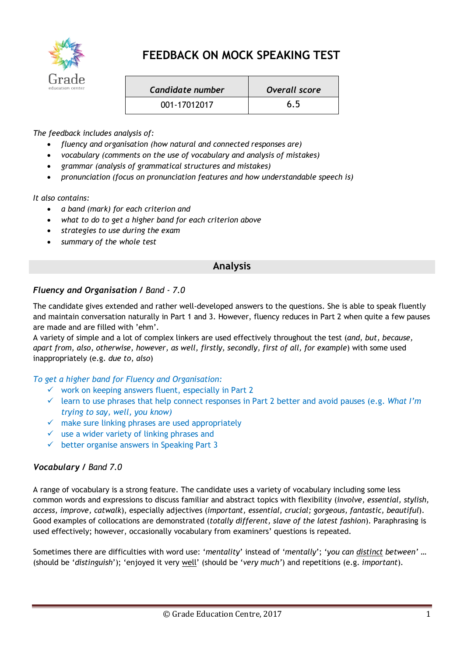

# **FEEDBACK ON MOCK SPEAKING TEST**

| Candidate number | Overall score |
|------------------|---------------|
| 001-17012017     | 6.5           |

*The feedback includes analysis of:*

- *fluency and organisation (how natural and connected responses are)*
- *vocabulary (comments on the use of vocabulary and analysis of mistakes)*
- *grammar (analysis of grammatical structures and mistakes)*
- *pronunciation (focus on pronunciation features and how understandable speech is)*

*It also contains:*

- *a band (mark) for each criterion and*
- *what to do to get a higher band for each criterion above*
- *strategies to use during the exam*
- *summary of the whole test*

# **Analysis**

## *Fluency and Organisation / Band - 7.0*

The candidate gives extended and rather well-developed answers to the questions. She is able to speak fluently and maintain conversation naturally in Part 1 and 3. However, fluency reduces in Part 2 when quite a few pauses are made and are filled with 'ehm'.

A variety of simple and a lot of complex linkers are used effectively throughout the test (*and, but, because, apart from, also*, *otherwise, however, as well, firstly, secondly, first of all, for example*) with some used inappropriately (e.g. *due to, also*)

*To get a higher band for Fluency and Organisation:*

- $\checkmark$  work on keeping answers fluent, especially in Part 2
- $\checkmark$  learn to use phrases that help connect responses in Part 2 better and avoid pauses (e.g. What I'm *trying to say, well, you know)*
- $\checkmark$  make sure linking phrases are used appropriately
- $\checkmark$  use a wider variety of linking phrases and
- $\checkmark$  better organise answers in Speaking Part 3

## *Vocabulary / Band 7.0*

A range of vocabulary is a strong feature. The candidate uses a variety of vocabulary including some less common words and expressions to discuss familiar and abstract topics with flexibility (*involve, essential, stylish, access, improve, catwalk*), especially adjectives (*important, essential, crucial; gorgeous, fantastic, beautiful*). Good examples of collocations are demonstrated (*totally different, slave of the latest fashion*). Paraphrasing is used effectively; however, occasionally vocabulary from examiners' questions is repeated.

Sometimes there are difficulties with word use: '*mentality*' instead of '*mentally*'; '*you can distinct between'* … (should be '*distinguish*'); 'enjoyed it very well' (should be '*very much'*) and repetitions (e.g. *important*).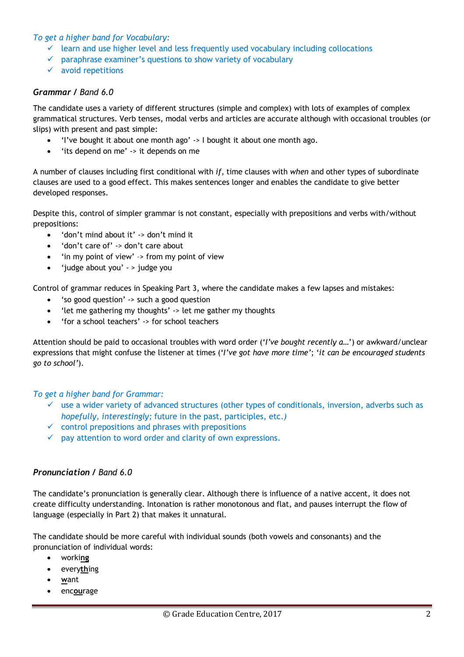### *To get a higher band for Vocabulary:*

- $\checkmark$  learn and use higher level and less frequently used vocabulary including collocations
- $\checkmark$  paraphrase examiner's questions to show variety of vocabulary
- $\checkmark$  avoid repetitions

### *Grammar / Band 6.0*

The candidate uses a variety of different structures (simple and complex) with lots of examples of complex grammatical structures. Verb tenses, modal verbs and articles are accurate although with occasional troubles (or slips) with present and past simple:

- 'I've bought it about one month ago' -> I bought it about one month ago.
- 'its depend on me' -> it depends on me

A number of clauses including first conditional with *if*, time clauses with *when* and other types of subordinate clauses are used to a good effect. This makes sentences longer and enables the candidate to give better developed responses.

Despite this, control of simpler grammar is not constant, especially with prepositions and verbs with/without prepositions:

- 'don't mind about it' -> don't mind it
- 'don't care of' -> don't care about
- 'in my point of view' –> from my point of view
- 'judge about you' > judge you

Control of grammar reduces in Speaking Part 3, where the candidate makes a few lapses and mistakes:

- 'so good question' -> such a good question
- 'let me gathering my thoughts' -> let me gather my thoughts
- 'for a school teachers' -> for school teachers

Attention should be paid to occasional troubles with word order ('*I've bought recently a…*') or awkward/unclear expressions that might confuse the listener at times ('*I've got have more time'*; '*it can be encouraged students go to school'*).

#### *To get a higher band for Grammar:*

- $\checkmark$  use a wider variety of advanced structures (other types of conditionals, inversion, adverbs such as *hopefully, interestingly;* future in the past, participles, etc.*)*
- $\checkmark$  control prepositions and phrases with prepositions
- $\checkmark$  pay attention to word order and clarity of own expressions.

## *Pronunciation / Band 6.0*

The candidate's pronunciation is generally clear. Although there is influence of a native accent, it does not create difficulty understanding. Intonation is rather monotonous and flat, and pauses interrupt the flow of language (especially in Part 2) that makes it unnatural.

The candidate should be more careful with individual sounds (both vowels and consonants) and the pronunciation of individual words:

- worki**ng**
- every**th**ing
- **w**ant
- enc**ou**rage